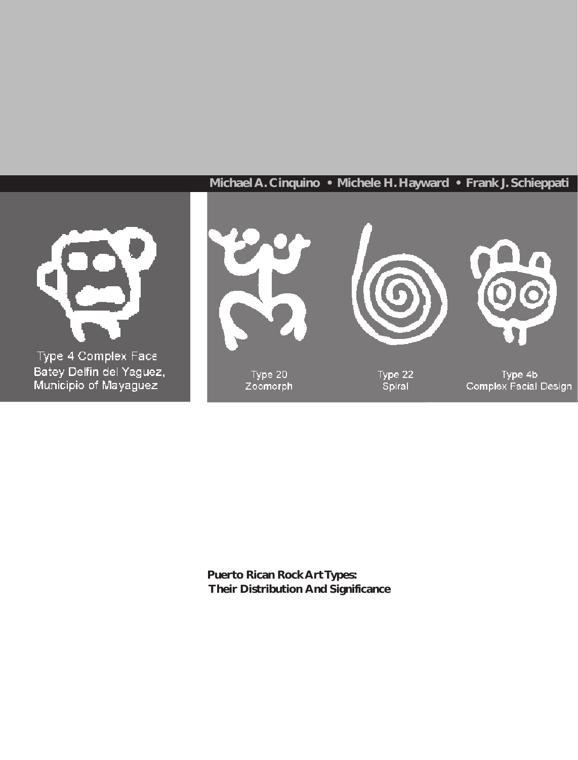

**Puerto Rican Rock Art Types: Their Distribution And Significance**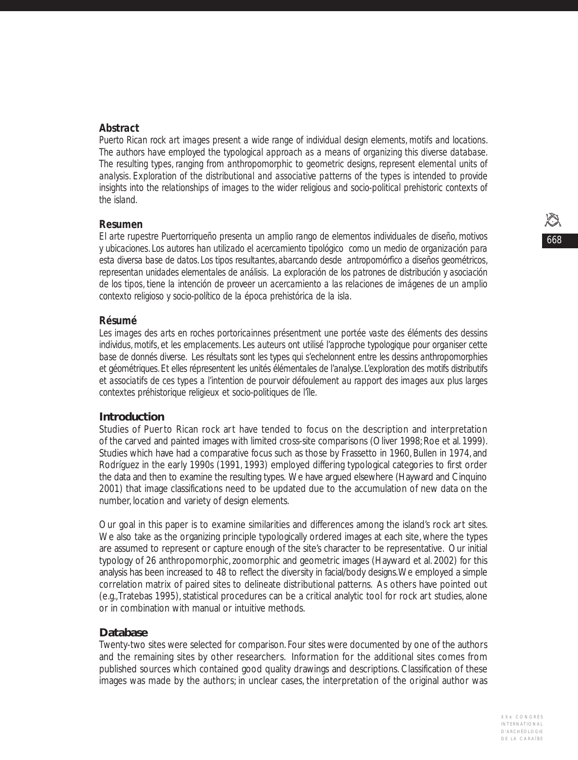# *Abstract*

*Puerto Rican rock art images present a wide range of individual design elements, motifs and locations. The authors have employed the typological approach as a means of organizing this diverse database. The resulting types, ranging from anthropomorphic to geometric designs, represent elemental units of analysis. Exploration of the distributional and associative patterns of the types is intended to provide insights into the relationships of images to the wider religious and socio-political prehistoric contexts of the island.*

#### *Resumen*

*El arte rupestre Puertorriqueño presenta un amplio rango de elementos individuales de diseño, motivos y ubicaciones. Los autores han utilizado el acercamiento tipológico como un medio de organización para esta diversa base de datos. Los tipos resultantes, abarcando desde antropomórfico a diseños geométricos, representan unidades elementales de análisis. La exploración de los patrones de distribución y asociación de los tipos, tiene la intención de proveer un acercamiento a las relaciones de imágenes de un amplio contexto religioso y socio-político de la época prehistórica de la isla.*

#### *Résumé*

*Les images des arts en roches portoricainnes présentment une portée vaste des éléments des dessins individus, motifs, et les emplacements. Les auteurs ont utilisé l'approche typologique pour organiser cette base de donnés diverse. Les résultats sont les types qui s'echelonnent entre les dessins anthropomorphies et géométriques. Et elles répresentent les unités élémentales de l'analyse. L'exploration des motifs distributifs et associatifs de ces types a l'intention de pourvoir défoulement au rapport des images aux plus larges contextes préhistorique religieux et socio-politiques de l'île.*

# **Introduction**

Studies of Puerto Rican rock art have tended to focus on the description and interpretation of the carved and painted images with limited cross-site comparisons (Oliver 1998; Roe et al. 1999). Studies which have had a comparative focus such as those by Frassetto in 1960, Bullen in 1974, and Rodríguez in the early 1990s (1991, 1993) employed differing typological categories to first order the data and then to examine the resulting types. We have argued elsewhere (Hayward and Cinquino 2001) that image classifications need to be updated due to the accumulation of new data on the number, location and variety of design elements.

Our goal in this paper is to examine similarities and differences among the island's rock art sites. We also take as the organizing principle typologically ordered images at each site, where the types are assumed to represent or capture enough of the site's character to be representative. Our initial typology of 26 anthropomorphic, zoomorphic and geometric images (Hayward et al. 2002) for this analysis has been increased to 48 to reflect the diversity in facial/body designs. We employed a simple correlation matrix of paired sites to delineate distributional patterns. As others have pointed out (e.g., Tratebas 1995), statistical procedures can be a critical analytic tool for rock art studies, alone or in combination with manual or intuitive methods.

#### **Database**

Twenty-two sites were selected for comparison. Four sites were documented by one of the authors and the remaining sites by other researchers. Information for the additional sites comes from published sources which contained good quality drawings and descriptions. Classification of these images was made by the authors; in unclear cases, the interpretation of the original author was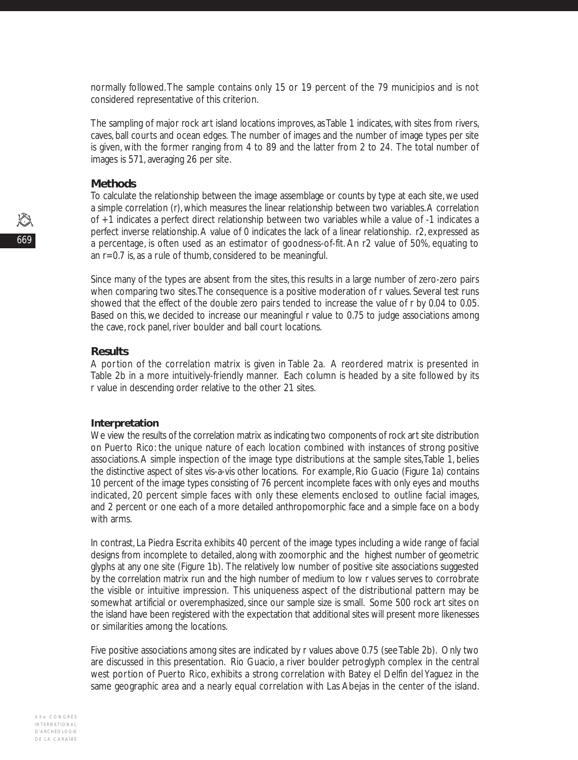normally followed. The sample contains only 15 or 19 percent of the 79 municipios and is not considered representative of this criterion.

The sampling of major rock art island locations improves, as Table 1 indicates, with sites from rivers, caves, ball courts and ocean edges. The number of images and the number of image types per site is given, with the former ranging from 4 to 89 and the latter from 2 to 24. The total number of images is 571, averaging 26 per site.

## **Methods**

To calculate the relationship between the image assemblage or counts by type at each site, we used a simple correlation (r), which measures the linear relationship between two variables. A correlation of +1 indicates a perfect direct relationship between two variables while a value of -1 indicates a perfect inverse relationship. A value of 0 indicates the lack of a linear relationship. r2, expressed as a percentage, is often used as an estimator of goodness-of-fit. An r2 value of 50%, equating to an r=0.7 is, as a rule of thumb, considered to be meaningful.

Since many of the types are absent from the sites, this results in a large number of zero-zero pairs when comparing two sites. The consequence is a positive moderation of r values. Several test runs showed that the effect of the double zero pairs tended to increase the value of r by 0.04 to 0.05. Based on this, we decided to increase our meaningful r value to 0.75 to judge associations among the cave, rock panel, river boulder and ball court locations.

#### **Results**

A portion of the correlation matrix is given in Table 2a. A reordered matrix is presented in Table 2b in a more intuitively-friendly manner. Each column is headed by a site followed by its r value in descending order relative to the other 21 sites.

#### **Interpretation**

We view the results of the correlation matrix as indicating two components of rock art site distribution on Puerto Rico: the unique nature of each location combined with instances of strong positive associations. A simple inspection of the image type distributions at the sample sites, Table 1, belies the distinctive aspect of sites vis-a-vis other locations. For example, Rio Guacio (Figure 1a) contains 10 percent of the image types consisting of 76 percent incomplete faces with only eyes and mouths indicated, 20 percent simple faces with only these elements enclosed to outline facial images, and 2 percent or one each of a more detailed anthropomorphic face and a simple face on a body with arms.

In contrast, La Piedra Escrita exhibits 40 percent of the image types including a wide range of facial designs from incomplete to detailed, along with zoomorphic and the highest number of geometric glyphs at any one site (Figure 1b). The relatively low number of positive site associations suggested by the correlation matrix run and the high number of medium to low r values serves to corrobrate the visible or intuitive impression. This uniqueness aspect of the distributional pattern may be somewhat artificial or overemphasized, since our sample size is small. Some 500 rock art sites on the island have been registered with the expectation that additional sites will present more likenesses or similarities among the locations.

Five positive associations among sites are indicated by r values above 0.75 (see Table 2b). Only two are discussed in this presentation. Rio Guacio, a river boulder petroglyph complex in the central west portion of Puerto Rico, exhibits a strong correlation with Batey el Delfin del Yaguez in the same geographic area and a nearly equal correlation with Las Abejas in the center of the island.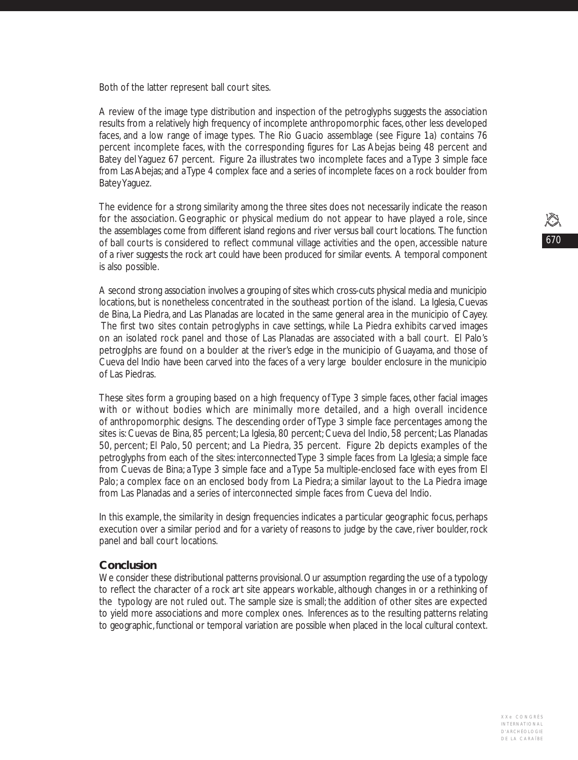Both of the latter represent ball court sites.

A review of the image type distribution and inspection of the petroglyphs suggests the association results from a relatively high frequency of incomplete anthropomorphic faces, other less developed faces, and a low range of image types. The Rio Guacio assemblage (see Figure 1a) contains 76 percent incomplete faces, with the corresponding figures for Las Abejas being 48 percent and Batey del Yaguez 67 percent. Figure 2a illustrates two incomplete faces and a Type 3 simple face from Las Abejas; and a Type 4 complex face and a series of incomplete faces on a rock boulder from Batey Yaguez.

The evidence for a strong similarity among the three sites does not necessarily indicate the reason for the association. Geographic or physical medium do not appear to have played a role, since the assemblages come from different island regions and river versus ball court locations. The function of ball courts is considered to reflect communal village activities and the open, accessible nature of a river suggests the rock art could have been produced for similar events. A temporal component is also possible.

A second strong association involves a grouping of sites which cross-cuts physical media and municipio locations, but is nonetheless concentrated in the southeast portion of the island. La Iglesia, Cuevas de Bina, La Piedra, and Las Planadas are located in the same general area in the municipio of Cayey. The first two sites contain petroglyphs in cave settings, while La Piedra exhibits carved images on an isolated rock panel and those of Las Planadas are associated with a ball court. El Palo's petroglphs are found on a boulder at the river's edge in the municipio of Guayama, and those of Cueva del Indio have been carved into the faces of a very large boulder enclosure in the municipio of Las Piedras.

These sites form a grouping based on a high frequency of Type 3 simple faces, other facial images with or without bodies which are minimally more detailed, and a high overall incidence of anthropomorphic designs. The descending order of Type 3 simple face percentages among the sites is: Cuevas de Bina, 85 percent; La Iglesia, 80 percent; Cueva del Indio, 58 percent; Las Planadas 50, percent; El Palo, 50 percent; and La Piedra, 35 percent. Figure 2b depicts examples of the petroglyphs from each of the sites: interconnected Type 3 simple faces from La Iglesia; a simple face from Cuevas de Bina; a Type 3 simple face and a Type 5a multiple-enclosed face with eyes from El Palo; a complex face on an enclosed body from La Piedra; a similar layout to the La Piedra image from Las Planadas and a series of interconnected simple faces from Cueva del Indio.

In this example, the similarity in design frequencies indicates a particular geographic focus, perhaps execution over a similar period and for a variety of reasons to judge by the cave, river boulder, rock panel and ball court locations.

# **Conclusion**

We consider these distributional patterns provisional. Our assumption regarding the use of a typology to reflect the character of a rock art site appears workable, although changes in or a rethinking of the typology are not ruled out. The sample size is small; the addition of other sites are expected to yield more associations and more complex ones. Inferences as to the resulting patterns relating to geographic, functional or temporal variation are possible when placed in the local cultural context.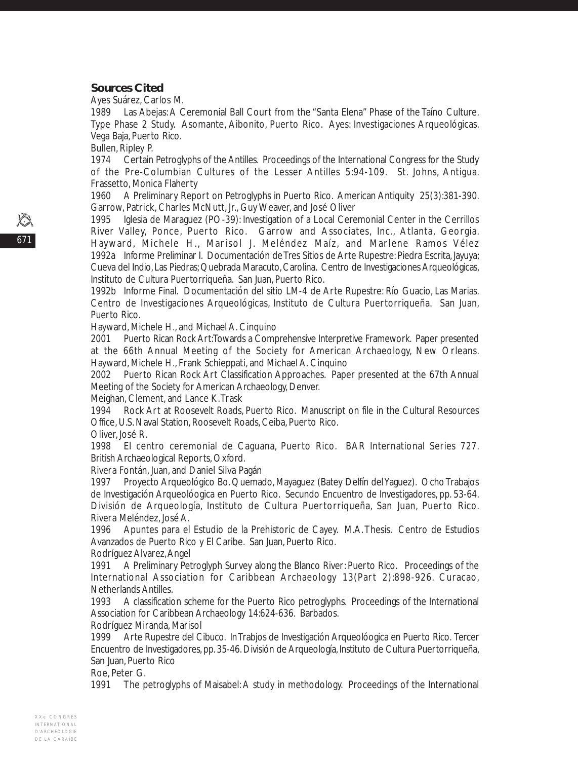# **Sources Cited**

Ayes Suárez, Carlos M.

1989 Las Abejas: A Ceremonial Ball Court from the "Santa Elena" Phase of the Taíno Culture. Type Phase 2 Study. Asomante, Aibonito, Puerto Rico. Ayes: Investigaciones Arqueológicas. Vega Baja, Puerto Rico.

Bullen, Ripley P.

1974 Certain Petroglyphs of the Antilles. Proceedings of the International Congress for the Study of the Pre-Columbian Cultures of the Lesser Antilles 5:94-109. St. Johns, Antigua. Frassetto, Monica Flaherty

1960 A Preliminary Report on Petroglyphs in Puerto Rico. American Antiquity 25(3):381-390. Garrow, Patrick, Charles McNutt, Jr., Guy Weaver, and José Oliver

1995 Iglesia de Maraguez (PO-39): Investigation of a Local Ceremonial Center in the Cerrillos River Valley, Ponce, Puerto Rico. Garrow and Associates, Inc., Atlanta, Georgia. Hayward, Michele H., Marisol J. Meléndez Maíz, and Marlene Ramos Vélez 1992a Informe Preliminar I. Documentación de Tres Sitios de Arte Rupestre: Piedra Escrita, Jayuya; Cueva del Indio, Las Piedras; Quebrada Maracuto, Carolina. Centro de Investigaciones Arqueológicas, Instituto de Cultura Puertorriqueña. San Juan, Puerto Rico.

1992b Informe Final. Documentación del sitio LM-4 de Arte Rupestre: Río Guacio, Las Marias. Centro de Investigaciones Arqueológicas, Instituto de Cultura Puertorriqueña. San Juan, Puerto Rico.

Hayward, Michele H., and Michael A. Cinquino

2001 Puerto Rican Rock Art: Towards a Comprehensive Interpretive Framework. Paper presented at the 66th Annual Meeting of the Society for American Archaeology, New Orleans. Hayward, Michele H., Frank Schieppati, and Michael A. Cinquino

2002 Puerto Rican Rock Art Classification Approaches. Paper presented at the 67th Annual Meeting of the Society for American Archaeology, Denver.

Meighan, Clement, and Lance K. Trask

1994 Rock Art at Roosevelt Roads, Puerto Rico. Manuscript on file in the Cultural Resources Office, U.S. Naval Station, Roosevelt Roads, Ceiba, Puerto Rico.

Oliver, José R.

1998 El centro ceremonial de Caguana, Puerto Rico. BAR International Series 727. British Archaeological Reports, Oxford.

Rivera Fontán, Juan, and Daniel Silva Pagán

1997 Proyecto Arqueológico Bo. Quemado, Mayaguez (Batey Delfín del Yaguez). Ocho Trabajos de Investigación Arqueolóogica en Puerto Rico. Secundo Encuentro de Investigadores, pp. 53-64. División de Arqueología, Instituto de Cultura Puertorriqueña, San Juan, Puerto Rico. Rivera Meléndez, José A.

1996 Apuntes para el Estudio de la Prehistoric de Cayey. M.A. Thesis. Centro de Estudios Avanzados de Puerto Rico y El Caribe. San Juan, Puerto Rico.

Rodríguez Alvarez, Angel

1991 A Preliminary Petroglyph Survey along the Blanco River: Puerto Rico. Proceedings of the International Association for Caribbean Archaeology 13(Part 2):898-926. Curacao, Netherlands Antilles.

1993 A classification scheme for the Puerto Rico petroglyphs. Proceedings of the International Association for Caribbean Archaeology 14:624-636. Barbados.

Rodríguez Miranda, Marisol

1999 Arte Rupestre del Cibuco. In Trabjos de Investigación Arqueolóogica en Puerto Rico. Tercer Encuentro de Investigadores, pp. 35-46. División de Arqueología, Instituto de Cultura Puertorriqueña, San Juan, Puerto Rico

Roe, Peter G.

1991 The petroglyphs of Maisabel: A study in methodology. Proceedings of the International

671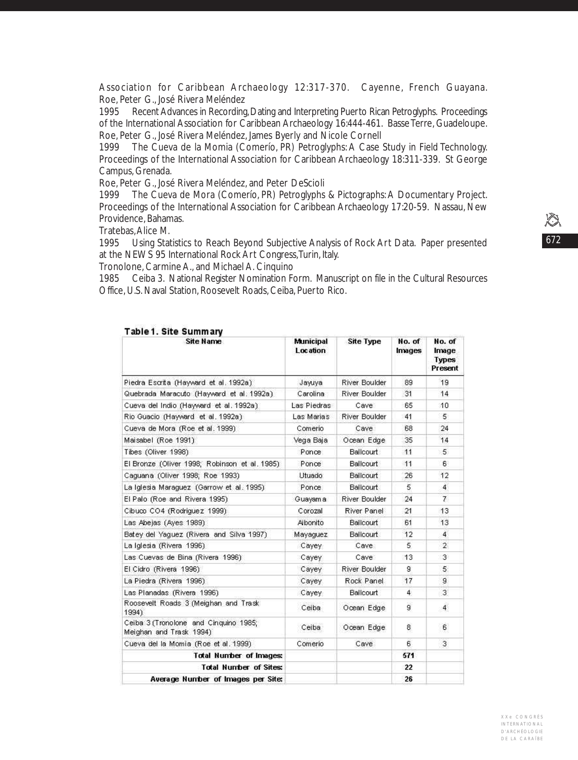Association for Caribbean Archaeology 12:317-370. Cayenne, French Guayana. Roe, Peter G., José Rivera Meléndez

1995 Recent Advances in Recording, Dating and Interpreting Puerto Rican Petroglyphs. Proceedings of the International Association for Caribbean Archaeology 16:444-461. Basse Terre, Guadeloupe. Roe, Peter G., José Rivera Meléndez, James Byerly and Nicole Cornell

1999 The Cueva de la Momia (Comerío, PR) Petroglyphs: A Case Study in Field Technology. Proceedings of the International Association for Caribbean Archaeology 18:311-339. St George Campus, Grenada.

Roe, Peter G., José Rivera Meléndez, and Peter DeScioli

1999 The Cueva de Mora (Comerío, PR) Petroglyphs & Pictographs: A Documentary Project. Proceedings of the International Association for Caribbean Archaeology 17:20-59. Nassau, New Providence, Bahamas.

Tratebas, Alice M.

1995 Using Statistics to Reach Beyond Subjective Analysis of Rock Art Data. Paper presented at the NEWS 95 International Rock Art Congress, Turin, Italy.

Tronolone, Carmine A., and Michael A. Cinquino

1985 Ceiba 3. National Register Nomination Form. Manuscript on file in the Cultural Resources Office, U.S. Naval Station, Roosevelt Roads, Ceiba, Puerto Rico.

| Site Name                                                        | <b>Municipal</b><br><b>Location</b> | <b>Site Type</b>     | No. of<br>Images | No. of<br>Image<br><b>Types</b><br>Present |  |
|------------------------------------------------------------------|-------------------------------------|----------------------|------------------|--------------------------------------------|--|
| Piedra Escrita (Hayward et al. 1992a)                            | Jayuya                              | <b>River Boulder</b> | 89               | 19                                         |  |
| Quebrada Maracuto (Hayward et al. 1992a).                        | Carolina                            | River Boulder        | 31               | 14                                         |  |
| Cueva del Indio (Hayward et al. 1992a).                          | Las Piedras                         | Cave                 | 65               | 10                                         |  |
| Rio Guacio (Hayward et al. 1992a)                                | Las Marias                          | <b>River Boulder</b> | 41               | 5                                          |  |
| Cueva de Mora (Roe et al. 1999)                                  | Comerio                             | Cave                 | 68               | 24                                         |  |
| Maisabel (Roe 1991)                                              | Vega Baja                           | Ocean Edge           | 35               | 14                                         |  |
| Tibes (Oliver 1998)                                              | Ponce                               | Ballcourt            | 11               | 5                                          |  |
| El Bronze (Oliver 1998; Robinson et al. 1985)                    | Ponce                               | Ballcourt            | 11               | 6                                          |  |
| Caguana (Oliver 1998; Roe 1993)                                  | Utuado:                             | Ballcourt            | 26               | 12                                         |  |
| La Iglesia Maraguez (Garrow et al. 1995)                         | Ponce.                              | <b>Ballcourt</b>     | 5.               | $\overline{4}$                             |  |
| El Palo (Roe and Rivera 1995)                                    | Guayam a                            | <b>River Boulder</b> | 24               | $\tau$                                     |  |
| Cibuco CO4 (Rodriguez 1999)                                      | Corozal                             | River Panel          | 21               | 13                                         |  |
| Las Abejas (Ayes 1989).                                          | Aibonito                            | Ballcourt            | 61               | 13                                         |  |
| Batey del Yaquez (Rivera and Silva 1997)                         | Mayaquez                            | <b>Ballcourt</b>     | 12               | $\overline{4}$                             |  |
| La Iglesia (Rivera 1996)                                         | Cayey                               | Cave                 | 5                | $\overline{2}$                             |  |
| Las Cuevas de Bina (Rivera 1996)                                 | Cayey                               | Cave                 | 13               | 3.                                         |  |
| El Cidro (Rivera 1996)                                           | Cayey                               | <b>River Boulder</b> | 9.               | 5.                                         |  |
| La Piedra (Rivera 1996)                                          | Cayey                               | Rock Panel           | 17               | 9                                          |  |
| Las Planadas (Rivera 1996)                                       | Cayey                               | Ballcourt            | 4.               | $3^{\circ}$                                |  |
| Roosevelt Roads 3 (Meighan and Trask<br>1994)                    | Ceiba                               | Ocean Edge           | g.               | $\overline{4}$                             |  |
| Ceiba 3 (Tronolone and Cinquino 1985;<br>Meighan and Trask 1994) | Ceiba                               | Ocean Edge<br>8.     |                  | 6                                          |  |
| Cueva del la Momia (Roe et al. 1999)                             | Comerio                             | Cave                 | 6.               | 3                                          |  |
| <b>Total Number of Images:</b>                                   |                                     |                      | 571              |                                            |  |
| <b>Total Number of Sites:</b>                                    |                                     |                      | 22               |                                            |  |
| Average Number of Images per Site:                               |                                     |                      | 26               |                                            |  |

## Table 1. Site Summary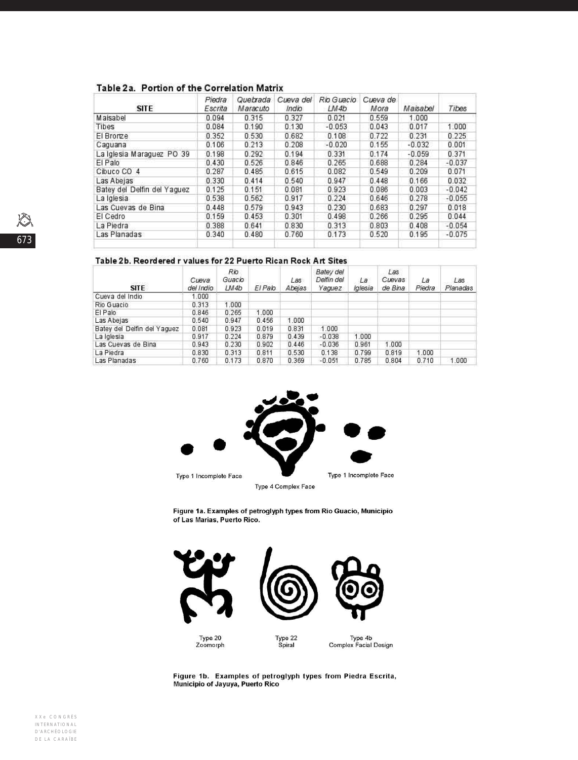# Table 2a. Portion of the Correlation Matrix

| <b>SITE</b>                 | Piedra<br>Escrita | Quebrada<br>Maracuto | Cueva del<br>Indio | Rio Guacio<br>LM4b | Cueva de<br>Mora | Maisabel | Tibes    |
|-----------------------------|-------------------|----------------------|--------------------|--------------------|------------------|----------|----------|
| Maisabel                    | 0.094             | 0.315                | 0.327              | 0.021              | 0.559            | 1.000    |          |
| Tibes                       | 0.084             | 0.190                | 0.130              | $-0.053$           | 0.043            | 0.017    | 1.000    |
| El Bronze                   | 0.352             | 0.530                | 0.682              | 0.108              | 0.722            | 0.231    | 0.225    |
| Caguana                     | 0.106             | 0.213                | 0.208              | $-0.020$           | 0.155            | $-0.032$ | 0.001    |
| La Iglesia Maraguez PO 39   | 0.198             | 0.292                | 0.194              | 0.331              | 0.174            | $-0.059$ | 0.371    |
| El Palo                     | 0.430             | 0.526                | 0.846              | 0.265              | 0.688            | 0.284    | $-0.037$ |
| Cibuco CO 4                 | 0.287             | 0.485                | 0.615              | 0.082              | 0.549            | 0.209    | 0.071    |
| Las Abejas                  | 0.330             | 0.414                | 0.540              | 0.947              | 0.448            | 0.166    | 0.032    |
| Batey del Delfin del Yaquez | 0.125             | 0.151                | 0.081              | 0.923              | 0.086            | 0.003    | $-0.042$ |
| La Iglesia                  | 0.538             | 0.562                | 0.917              | 0.224              | 0.646            | 0.278    | $-0.055$ |
| Las Cuevas de Bina          | 0.448             | 0.579                | 0.943              | 0.230              | 0.683            | 0.297    | 0.018    |
| El Cedro                    | 0.159             | 0.453                | 0.301              | 0.498              | 0.266            | 0.295    | 0.044    |
| La Piedra                   | 0.388             | 0.641                | 0.830              | 0.313              | 0.803            | 0.408    | $-0.054$ |
| Las Planadas                | 0.340             | 0.480                | 0.760              | 0.173              | 0.520            | 0.195    | $-0.075$ |

## Table 2b. Reordered r values for 22 Puerto Rican Rock Art Sites

| <b>CASA dies</b><br><b>SITE</b> | Cueva<br>del Indio | Rio.<br>Guacio<br>LM4b | El Palo | Las<br>Abejas | Batey del<br>Delfin del<br>Yaguez | La<br>Iglesia | Las<br>Cuevas<br>de Bina | La<br>Piedra | Las<br>Planadas |
|---------------------------------|--------------------|------------------------|---------|---------------|-----------------------------------|---------------|--------------------------|--------------|-----------------|
| Cueva del Indio                 | 1.000              |                        |         |               |                                   |               |                          |              |                 |
| Rio Guacio                      | 0.313              | 1.000                  |         |               |                                   |               |                          |              |                 |
| El Palo                         | 0.846              | 0.265                  | 1.000   |               |                                   |               |                          |              |                 |
| Las Abejas                      | 0.540              | 0.947                  | 0.456   | 1.000         |                                   |               |                          |              |                 |
| Batey del Delfin del Yaquez     | 0.081              | 0.923                  | 0.019   | 0.831         | 1.000                             |               |                          |              |                 |
| La Iglesia                      | 0.917              | 0.224                  | 0.879   | 0.439         | $-0.038$                          | 1.000         |                          |              |                 |
| Las Cuevas de Bina              | 0.943              | 0.230                  | 0.902   | 0.446         | $-0.036$                          | 0.961         | 1.000                    |              |                 |
| La Piedra                       | 0.830              | 0.313                  | 0.811   | 0.530         | 0.138                             | 0.799         | 0.819                    | 1.000        |                 |
| Las Planadas                    | 0.760              | 0.173                  | 0.870   | 0.369         | $-0.051$                          | 0.785         | 0.804                    | 0.710        | 1.000           |



Type 1 Incomplete Face

Type 1 Incomplete Face

Type 4 Complex Face

Figure 1a. Examples of petroglyph types from Rio Guacio, Municipio of Las Marias, Puerto Rico.



Figure 1b. Examples of petroglyph types from Piedra Escrita, Municipio of Jayuya, Puerto Rico